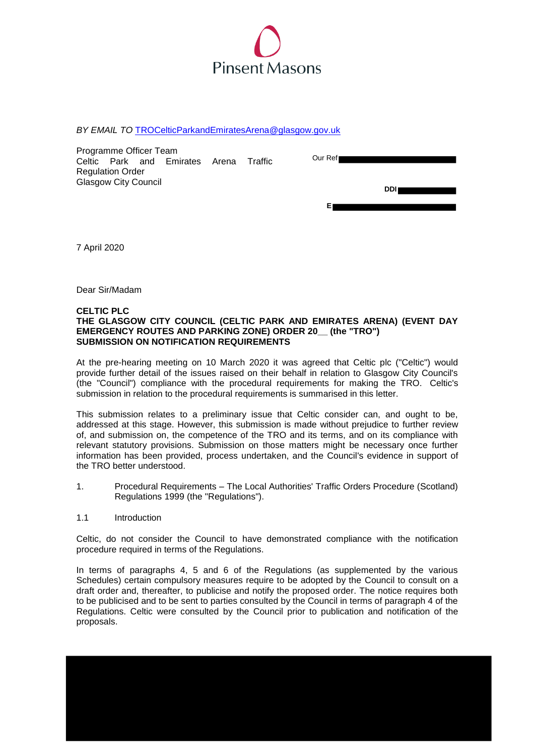

*BY EMAIL TO* [TROCelticParkandEmiratesArena@glasgow.gov.uk](mailto:TROCelticParkandEmiratesArena@glasgow.gov.uk)

| Programme Officer Team      |  |  |                          |       |         |  |          |  |      |  |
|-----------------------------|--|--|--------------------------|-------|---------|--|----------|--|------|--|
|                             |  |  | Celtic Park and Emirates | Arena | Traffic |  | Our Ref∎ |  |      |  |
| <b>Regulation Order</b>     |  |  |                          |       |         |  |          |  |      |  |
| <b>Glasgow City Council</b> |  |  |                          |       |         |  |          |  |      |  |
|                             |  |  |                          |       |         |  |          |  | DDII |  |
|                             |  |  |                          |       |         |  |          |  |      |  |
|                             |  |  |                          |       |         |  |          |  |      |  |

7 April 2020

Dear Sir/Madam

### **CELTIC PLC**

### **THE GLASGOW CITY COUNCIL (CELTIC PARK AND EMIRATES ARENA) (EVENT DAY EMERGENCY ROUTES AND PARKING ZONE) ORDER 20\_\_ (the "TRO") SUBMISSION ON NOTIFICATION REQUIREMENTS**

At the pre-hearing meeting on 10 March 2020 it was agreed that Celtic plc ("Celtic") would provide further detail of the issues raised on their behalf in relation to Glasgow City Council's (the "Council") compliance with the procedural requirements for making the TRO. Celtic's submission in relation to the procedural requirements is summarised in this letter.

This submission relates to a preliminary issue that Celtic consider can, and ought to be, addressed at this stage. However, this submission is made without prejudice to further review of, and submission on, the competence of the TRO and its terms, and on its compliance with relevant statutory provisions. Submission on those matters might be necessary once further information has been provided, process undertaken, and the Council's evidence in support of the TRO better understood.

- 1. Procedural Requirements The Local Authorities' Traffic Orders Procedure (Scotland) Regulations 1999 (the "Regulations").
- 1.1 Introduction

Celtic, do not consider the Council to have demonstrated compliance with the notification procedure required in terms of the Regulations.

In terms of paragraphs 4, 5 and 6 of the Regulations (as supplemented by the various Schedules) certain compulsory measures require to be adopted by the Council to consult on a draft order and, thereafter, to publicise and notify the proposed order. The notice requires both to be publicised and to be sent to parties consulted by the Council in terms of paragraph 4 of the Regulations. Celtic were consulted by the Council prior to publication and notification of the proposals.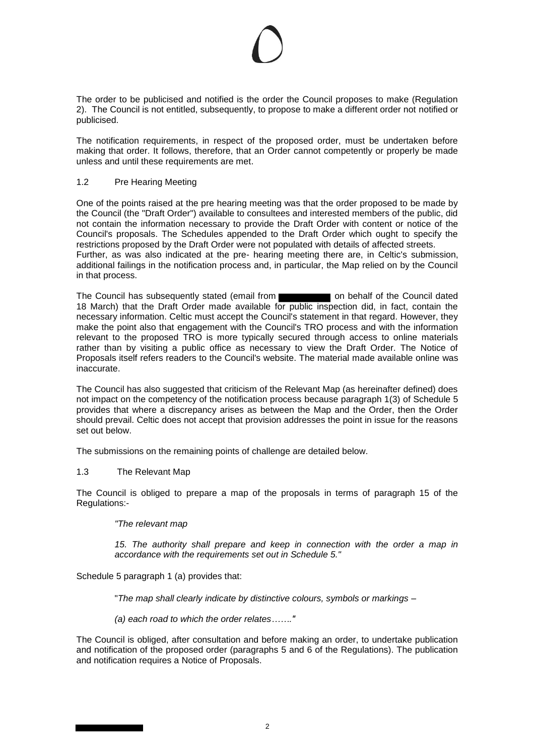The order to be publicised and notified is the order the Council proposes to make (Regulation 2). The Council is not entitled, subsequently, to propose to make a different order not notified or publicised.

The notification requirements, in respect of the proposed order, must be undertaken before making that order. It follows, therefore, that an Order cannot competently or properly be made unless and until these requirements are met.

## 1.2 Pre Hearing Meeting

One of the points raised at the pre hearing meeting was that the order proposed to be made by the Council (the "Draft Order") available to consultees and interested members of the public, did not contain the information necessary to provide the Draft Order with content or notice of the Council's proposals. The Schedules appended to the Draft Order which ought to specify the restrictions proposed by the Draft Order were not populated with details of affected streets. Further, as was also indicated at the pre- hearing meeting there are, in Celtic's submission, additional failings in the notification process and, in particular, the Map relied on by the Council in that process.

The Council has subsequently stated (email from **or subsequently** on behalf of the Council dated 18 March) that the Draft Order made available for public inspection did, in fact, contain the necessary information. Celtic must accept the Council's statement in that regard. However, they make the point also that engagement with the Council's TRO process and with the information relevant to the proposed TRO is more typically secured through access to online materials rather than by visiting a public office as necessary to view the Draft Order. The Notice of Proposals itself refers readers to the Council's website. The material made available online was inaccurate.

The Council has also suggested that criticism of the Relevant Map (as hereinafter defined) does not impact on the competency of the notification process because paragraph 1(3) of Schedule 5 provides that where a discrepancy arises as between the Map and the Order, then the Order should prevail. Celtic does not accept that provision addresses the point in issue for the reasons set out below.

The submissions on the remaining points of challenge are detailed below.

## 1.3 The Relevant Map

The Council is obliged to prepare a map of the proposals in terms of paragraph 15 of the Regulations:-

## *"The relevant map*

*15. The authority shall prepare and keep in connection with the order a map in accordance with the requirements set out in Schedule 5."* 

Schedule 5 paragraph 1 (a) provides that:

"*The map shall clearly indicate by distinctive colours, symbols or markings –* 

*(a) each road to which the order relates……."*

The Council is obliged, after consultation and before making an order, to undertake publication and notification of the proposed order (paragraphs 5 and 6 of the Regulations). The publication and notification requires a Notice of Proposals.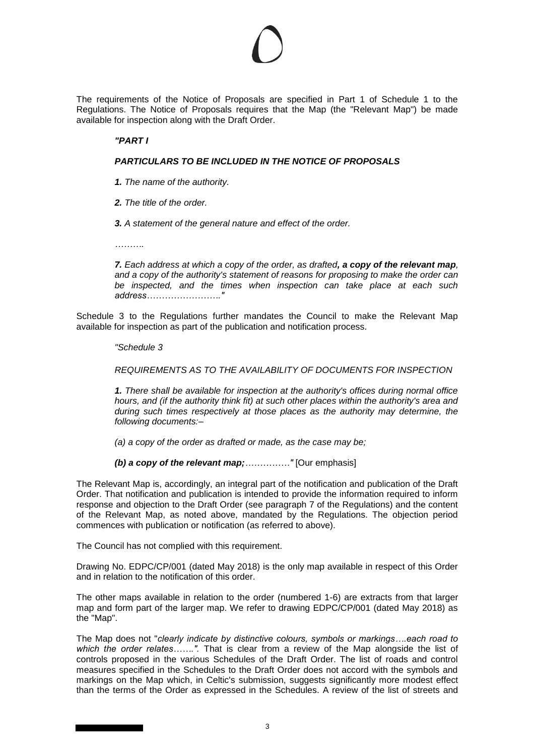The requirements of the Notice of Proposals are specified in Part 1 of Schedule 1 to the Regulations. The Notice of Proposals requires that the Map (the "Relevant Map") be made available for inspection along with the Draft Order.

## *"PART I*

### *PARTICULARS TO BE INCLUDED IN THE NOTICE OF PROPOSALS*

- *1. The name of the authority.*
- *2. The title of the order.*
- *3. A statement of the general nature and effect of the order.*

*……….*

*7. Each address at which a copy of the order, as drafted, a copy of the relevant map, and a copy of the authority's statement of reasons for proposing to make the order can be inspected, and the times when inspection can take place at each such address……………………."*

Schedule 3 to the Regulations further mandates the Council to make the Relevant Map available for inspection as part of the publication and notification process.

*"Schedule 3* 

*REQUIREMENTS AS TO THE AVAILABILITY OF DOCUMENTS FOR INSPECTION* 

*1. There shall be available for inspection at the authority's offices during normal office hours, and (if the authority think fit) at such other places within the authority's area and during such times respectively at those places as the authority may determine, the following documents:–*

*(a) a copy of the order as drafted or made, as the case may be;* 

*(b) a copy of the relevant map;……………"* [Our emphasis]

The Relevant Map is, accordingly, an integral part of the notification and publication of the Draft Order. That notification and publication is intended to provide the information required to inform response and objection to the Draft Order (see paragraph 7 of the Regulations) and the content of the Relevant Map, as noted above, mandated by the Regulations. The objection period commences with publication or notification (as referred to above).

The Council has not complied with this requirement.

Drawing No. EDPC/CP/001 (dated May 2018) is the only map available in respect of this Order and in relation to the notification of this order.

The other maps available in relation to the order (numbered 1-6) are extracts from that larger map and form part of the larger map. We refer to drawing EDPC/CP/001 (dated May 2018) as the "Map".

The Map does not "*clearly indicate by distinctive colours, symbols or markings….each road to which the order relates…….".* That is clear from a review of the Map alongside the list of controls proposed in the various Schedules of the Draft Order. The list of roads and control measures specified in the Schedules to the Draft Order does not accord with the symbols and markings on the Map which, in Celtic's submission, suggests significantly more modest effect than the terms of the Order as expressed in the Schedules. A review of the list of streets and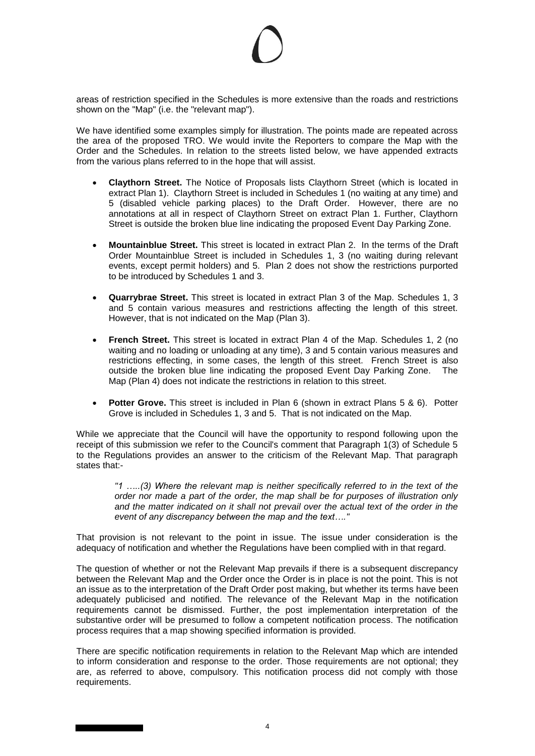areas of restriction specified in the Schedules is more extensive than the roads and restrictions shown on the "Map" (i.e. the "relevant map").

We have identified some examples simply for illustration. The points made are repeated across the area of the proposed TRO. We would invite the Reporters to compare the Map with the Order and the Schedules. In relation to the streets listed below, we have appended extracts from the various plans referred to in the hope that will assist.

- **Claythorn Street.** The Notice of Proposals lists Claythorn Street (which is located in extract Plan 1). Claythorn Street is included in Schedules 1 (no waiting at any time) and 5 (disabled vehicle parking places) to the Draft Order. However, there are no annotations at all in respect of Claythorn Street on extract Plan 1. Further, Claythorn Street is outside the broken blue line indicating the proposed Event Day Parking Zone.
- **Mountainblue Street.** This street is located in extract Plan 2. In the terms of the Draft Order Mountainblue Street is included in Schedules 1, 3 (no waiting during relevant events, except permit holders) and 5. Plan 2 does not show the restrictions purported to be introduced by Schedules 1 and 3.
- **Quarrybrae Street.** This street is located in extract Plan 3 of the Map. Schedules 1, 3 and 5 contain various measures and restrictions affecting the length of this street. However, that is not indicated on the Map (Plan 3).
- **French Street.** This street is located in extract Plan 4 of the Map. Schedules 1, 2 (no waiting and no loading or unloading at any time), 3 and 5 contain various measures and restrictions effecting, in some cases, the length of this street. French Street is also outside the broken blue line indicating the proposed Event Day Parking Zone. The Map (Plan 4) does not indicate the restrictions in relation to this street.
- **Potter Grove.** This street is included in Plan 6 (shown in extract Plans 5 & 6). Potter Grove is included in Schedules 1, 3 and 5. That is not indicated on the Map.

While we appreciate that the Council will have the opportunity to respond following upon the receipt of this submission we refer to the Council's comment that Paragraph 1(3) of Schedule 5 to the Regulations provides an answer to the criticism of the Relevant Map. That paragraph states that:-

*"1 …..(3) Where the relevant map is neither specifically referred to in the text of the order nor made a part of the order, the map shall be for purposes of illustration only and the matter indicated on it shall not prevail over the actual text of the order in the event of any discrepancy between the map and the text…."* 

That provision is not relevant to the point in issue. The issue under consideration is the adequacy of notification and whether the Regulations have been complied with in that regard.

The question of whether or not the Relevant Map prevails if there is a subsequent discrepancy between the Relevant Map and the Order once the Order is in place is not the point. This is not an issue as to the interpretation of the Draft Order post making, but whether its terms have been adequately publicised and notified. The relevance of the Relevant Map in the notification requirements cannot be dismissed. Further, the post implementation interpretation of the substantive order will be presumed to follow a competent notification process. The notification process requires that a map showing specified information is provided.

There are specific notification requirements in relation to the Relevant Map which are intended to inform consideration and response to the order. Those requirements are not optional; they are, as referred to above, compulsory. This notification process did not comply with those requirements.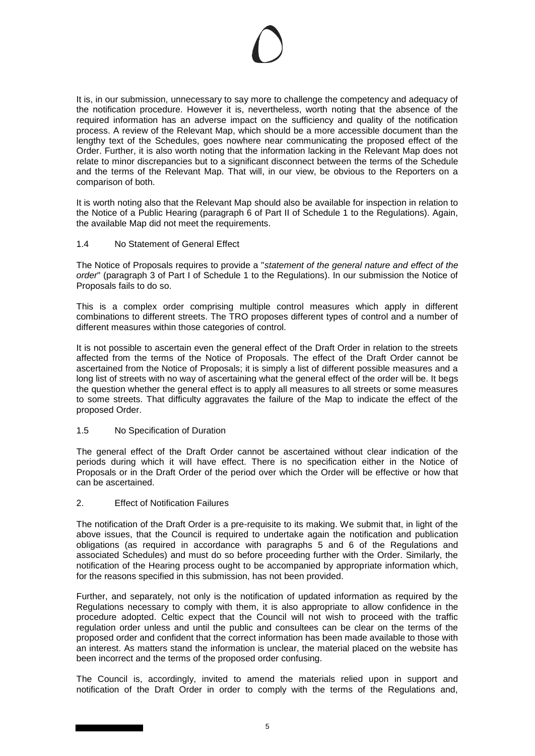It is, in our submission, unnecessary to say more to challenge the competency and adequacy of the notification procedure. However it is, nevertheless, worth noting that the absence of the required information has an adverse impact on the sufficiency and quality of the notification process. A review of the Relevant Map, which should be a more accessible document than the lengthy text of the Schedules, goes nowhere near communicating the proposed effect of the Order. Further, it is also worth noting that the information lacking in the Relevant Map does not relate to minor discrepancies but to a significant disconnect between the terms of the Schedule and the terms of the Relevant Map. That will, in our view, be obvious to the Reporters on a comparison of both.

It is worth noting also that the Relevant Map should also be available for inspection in relation to the Notice of a Public Hearing (paragraph 6 of Part II of Schedule 1 to the Regulations). Again, the available Map did not meet the requirements.

## 1.4 No Statement of General Effect

The Notice of Proposals requires to provide a "*statement of the general nature and effect of the order*" (paragraph 3 of Part I of Schedule 1 to the Regulations). In our submission the Notice of Proposals fails to do so.

This is a complex order comprising multiple control measures which apply in different combinations to different streets. The TRO proposes different types of control and a number of different measures within those categories of control.

It is not possible to ascertain even the general effect of the Draft Order in relation to the streets affected from the terms of the Notice of Proposals. The effect of the Draft Order cannot be ascertained from the Notice of Proposals; it is simply a list of different possible measures and a long list of streets with no way of ascertaining what the general effect of the order will be. It begs the question whether the general effect is to apply all measures to all streets or some measures to some streets. That difficulty aggravates the failure of the Map to indicate the effect of the proposed Order.

## 1.5 No Specification of Duration

The general effect of the Draft Order cannot be ascertained without clear indication of the periods during which it will have effect. There is no specification either in the Notice of Proposals or in the Draft Order of the period over which the Order will be effective or how that can be ascertained.

## 2. Effect of Notification Failures

The notification of the Draft Order is a pre-requisite to its making. We submit that, in light of the above issues, that the Council is required to undertake again the notification and publication obligations (as required in accordance with paragraphs 5 and 6 of the Regulations and associated Schedules) and must do so before proceeding further with the Order. Similarly, the notification of the Hearing process ought to be accompanied by appropriate information which, for the reasons specified in this submission, has not been provided.

Further, and separately, not only is the notification of updated information as required by the Regulations necessary to comply with them, it is also appropriate to allow confidence in the procedure adopted. Celtic expect that the Council will not wish to proceed with the traffic regulation order unless and until the public and consultees can be clear on the terms of the proposed order and confident that the correct information has been made available to those with an interest. As matters stand the information is unclear, the material placed on the website has been incorrect and the terms of the proposed order confusing.

The Council is, accordingly, invited to amend the materials relied upon in support and notification of the Draft Order in order to comply with the terms of the Regulations and,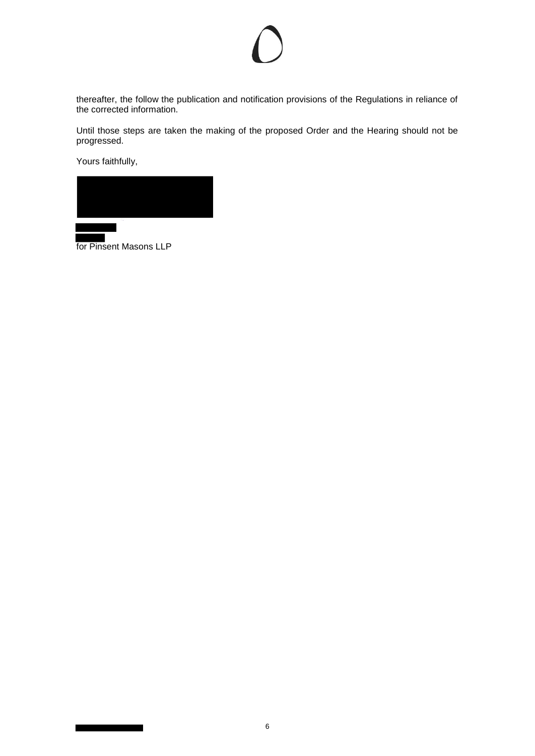thereafter, the follow the publication and notification provisions of the Regulations in reliance of the corrected information.

Until those steps are taken the making of the proposed Order and the Hearing should not be progressed.

Yours faithfully,



for Pinsent Masons LLP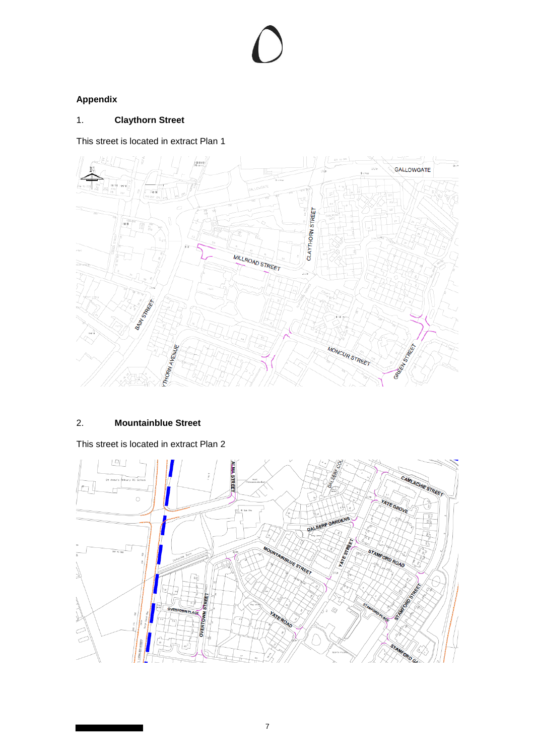# **Appendix**

# 1. **Claythorn Street**

This street is located in extract Plan 1



## 2. **Mountainblue Street**

This street is located in extract Plan 2

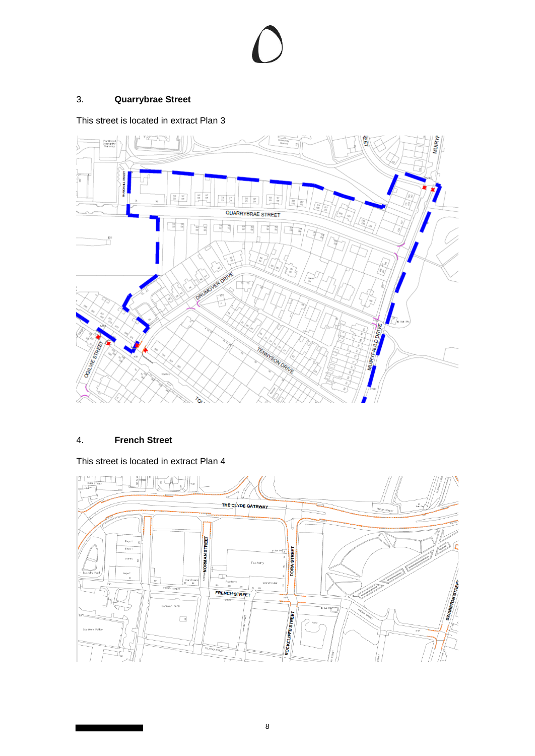# 3. **Quarrybrae Street**

This street is located in extract Plan 3



## 4. **French Street**

This street is located in extract Plan 4